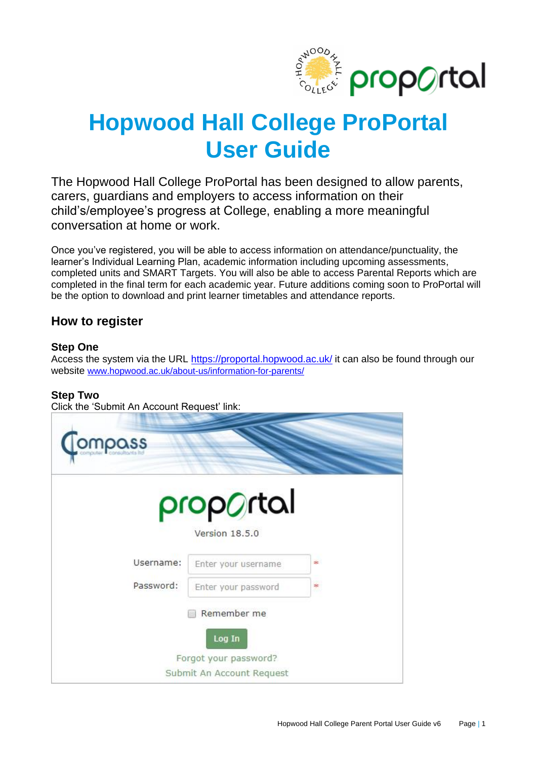

# **Hopwood Hall College ProPortal User Guide**

The Hopwood Hall College ProPortal has been designed to allow parents, carers, guardians and employers to access information on their child's/employee's progress at College, enabling a more meaningful conversation at home or work.

Once you've registered, you will be able to access information on attendance/punctuality, the learner's Individual Learning Plan, academic information including upcoming assessments, completed units and SMART Targets. You will also be able to access Parental Reports which are completed in the final term for each academic year. Future additions coming soon to ProPortal will be the option to download and print learner timetables and attendance reports.

## **How to register**

### **Step One**

Access the system via the URL<https://proportal.hopwood.ac.uk/> it can also be found through our website [www.hopwood.ac.uk/about-us/information-for-parents/](http://www.hopwood.ac.uk/about-us/information-for-parents/)

### **Step Two**

Click the 'Submit An Account Request' link:

| mpass     |                                                                             |          |
|-----------|-----------------------------------------------------------------------------|----------|
|           | proportal<br>Version 18.5.0                                                 |          |
| Username: | Enter your username                                                         | ak.      |
| Password: | Enter your password                                                         | #<br>35, |
|           | Remember me<br>Log In<br>Forgot your password?<br>Submit An Account Request |          |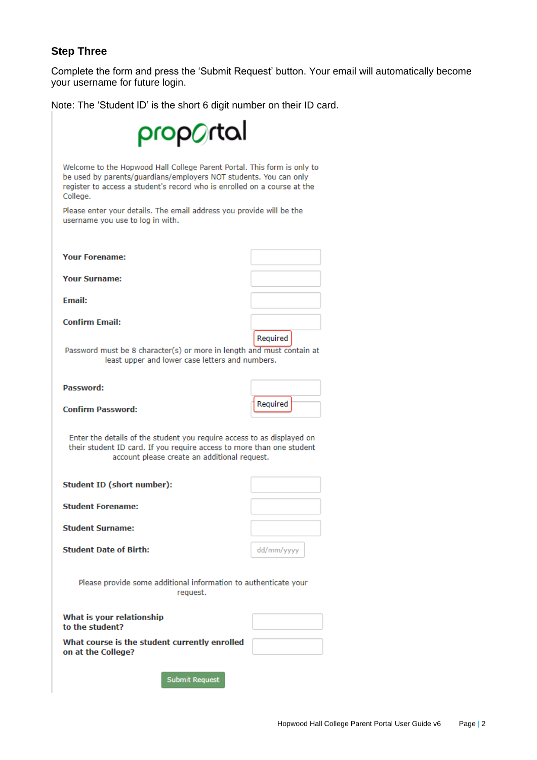### **Step Three**

Complete the form and press the 'Submit Request' button. Your email will automatically become your username for future login.

Note: The 'Student ID' is the short 6 digit number on their ID card.

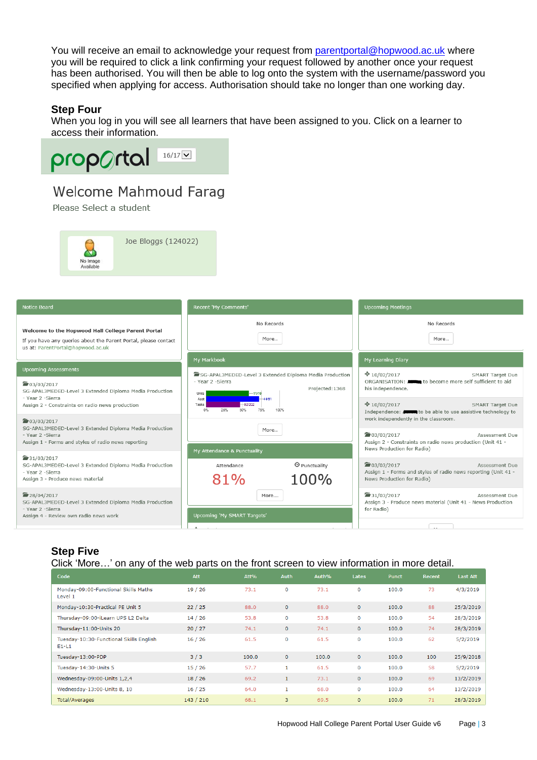You will receive an email to acknowledge your request from [parentportal@hopwood.ac.uk](mailto:parentportal@hopwood.ac.uk) where you will be required to click a link confirming your request followed by another once your request has been authorised. You will then be able to log onto the system with the username/password you specified when applying for access. Authorisation should take no longer than one working day.

### **Step Four**

When you log in you will see all learners that have been assigned to you. Click on a learner to access their information.



# Welcome Mahmoud Farag

Please Select a student



| <b>Notice Board</b>                                                                                                                                       | Recent 'My Comments'                                     |                                                         | <b>Upcoming Meetings</b>                                                                                             |  |  |  |
|-----------------------------------------------------------------------------------------------------------------------------------------------------------|----------------------------------------------------------|---------------------------------------------------------|----------------------------------------------------------------------------------------------------------------------|--|--|--|
| Welcome to the Hopwood Hall College Parent Portal<br>If you have any queries about the Parent Portal, please contact<br>us at: ParentPortal@hopwood.ac.uk | No Records<br>More                                       |                                                         | No Records<br>More                                                                                                   |  |  |  |
|                                                                                                                                                           | My Markbook                                              |                                                         | My Learning Diary                                                                                                    |  |  |  |
| <b>Upcoming Assessments</b>                                                                                                                               |                                                          | SG-APAL3MEDED-Level 3 Extended Diploma Media Production | $*10/02/2017$<br><b>SMART Target Due</b>                                                                             |  |  |  |
| ■ 03/03/2017<br>SG-APAL3MEDED-Level 3 Extended Diploma Media Production<br>- Year 2 - Sierra                                                              | - Year 2 - Sierra<br>Units<br>$-11/19$<br>$-44/61$       | Projected: 1368                                         | ORGANISATION: to become more self sufficient to aid<br>his independence.                                             |  |  |  |
| Assign 2 - Constraints on radio news production                                                                                                           | Asst<br>$-92/202$<br>Tasks<br>75%<br>$0\%$<br>25%<br>50% | 100%                                                    | $*10/02/2017$<br><b>SMART Target Due</b><br>Independence: <b>All and a</b> to be able to use assistive technology to |  |  |  |
| ■ 03/03/2017<br>SG-APAL3MEDED-Level 3 Extended Diploma Media Production                                                                                   | More                                                     |                                                         | work independently in the classroom.                                                                                 |  |  |  |
| - Year 2 - Sierra<br>Assign 1 - Forms and styles of radio news reporting                                                                                  |                                                          |                                                         | ■03/03/2017<br>Assessment Due<br>Assign 2 - Constraints on radio news production (Unit 41 -                          |  |  |  |
|                                                                                                                                                           | My Attendance & Punctuality                              |                                                         | News Production for Radio)                                                                                           |  |  |  |
| $\frac{1}{2}31/03/2017$<br>SG-APAL3MEDED-Level 3 Extended Diploma Media Production                                                                        | Attendance                                               | <sup>©</sup> Punctuality                                | ■03/03/2017<br>Assessment Due                                                                                        |  |  |  |
| - Year 2 -Sierra<br>Assign 3 - Produce news material                                                                                                      | 81%                                                      | 100%                                                    | Assign 1 - Forms and styles of radio news reporting (Unit 41 -<br>News Production for Radio)                         |  |  |  |
| ■28/04/2017<br>SG-APAL3MEDED-Level 3 Extended Diploma Media Production                                                                                    | More                                                     |                                                         | $\frac{1}{2}31/03/2017$<br>Assessment Due<br>Assign 3 - Produce news material (Unit 41 - News Production             |  |  |  |
| - Year 2 - Sierra<br>Assign 4 - Review own radio news work                                                                                                | Upcoming 'My SMART Targets'                              |                                                         | for Radio)                                                                                                           |  |  |  |
|                                                                                                                                                           | .                                                        |                                                         | $\sim$                                                                                                               |  |  |  |

### **Step Five**

#### Click 'More…' on any of the web parts on the front screen to view information in more detail.

| Code                                               | <b>Att</b> | Att%  | <b>Auth</b>  | Auth% | Lates          | Punct | Recent | Last Att  |
|----------------------------------------------------|------------|-------|--------------|-------|----------------|-------|--------|-----------|
| Monday-09:00-Functional Skills Maths<br>Level 1    | 19/26      | 73.1  | 0            | 73.1  | 0              | 100.0 | 73     | 4/3/2019  |
| Monday-10:30-Practical PE Unit 5                   | 22/25      | 88.0  | $\mathbf 0$  | 88.0  | $\overline{0}$ | 100.0 | 88     | 25/3/2019 |
| Thursday-09:00-iLearn UPS L2 Delta                 | 14/26      | 53.8  | 0            | 53.8  | 0              | 100.0 | 54     | 28/3/2019 |
| Thursday-11:00-Units 20                            | 20/27      | 74.1  | $\mathbf 0$  | 74.1  | $\mathbf{0}$   | 100.0 | 74     | 28/3/2019 |
| Tuesday-10:30-Functional Skills English<br>$E1-L1$ | 16/26      | 61.5  | 0            | 61.5  | 0              | 100.0 | 62     | 5/2/2019  |
| Tuesday-13:00-PDP                                  | 3/3        | 100.0 | $\mathbf 0$  | 100.0 | $\mathbf{0}$   | 100.0 | 100    | 25/9/2018 |
| Tuesday-14:30-Units 5                              | 15/26      | 57.7  | 1            | 61.5  | 0              | 100.0 | 58     | 5/2/2019  |
| Wednesday-09:00-Units 1,2,4                        | 18/26      | 69.2  | $\mathbf{1}$ | 73.1  | $\mathbf{0}$   | 100.0 | 69     | 13/2/2019 |
| Wednesday-13:00-Units 8, 10                        | 16/25      | 64.0  | $\mathbf{1}$ | 68.0  | 0              | 100.0 | 64     | 13/2/2019 |
| Total/Averages                                     | 143 / 210  | 68.1  | 3            | 69.5  | $\overline{0}$ | 100.0 | 71     | 28/3/2019 |